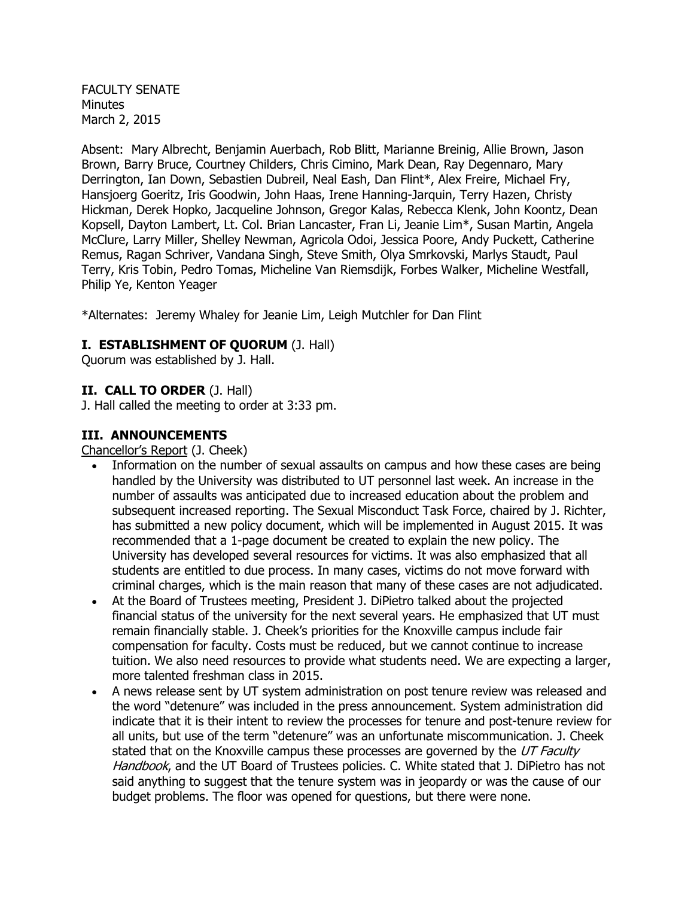FACULTY SENATE **Minutes** March 2, 2015

Absent: Mary Albrecht, Benjamin Auerbach, Rob Blitt, Marianne Breinig, Allie Brown, Jason Brown, Barry Bruce, Courtney Childers, Chris Cimino, Mark Dean, Ray Degennaro, Mary Derrington, Ian Down, Sebastien Dubreil, Neal Eash, Dan Flint\*, Alex Freire, Michael Fry, Hansjoerg Goeritz, Iris Goodwin, John Haas, Irene Hanning-Jarquin, Terry Hazen, Christy Hickman, Derek Hopko, Jacqueline Johnson, Gregor Kalas, Rebecca Klenk, John Koontz, Dean Kopsell, Dayton Lambert, Lt. Col. Brian Lancaster, Fran Li, Jeanie Lim\*, Susan Martin, Angela McClure, Larry Miller, Shelley Newman, Agricola Odoi, Jessica Poore, Andy Puckett, Catherine Remus, Ragan Schriver, Vandana Singh, Steve Smith, Olya Smrkovski, Marlys Staudt, Paul Terry, Kris Tobin, Pedro Tomas, Micheline Van Riemsdijk, Forbes Walker, Micheline Westfall, Philip Ye, Kenton Yeager

\*Alternates: Jeremy Whaley for Jeanie Lim, Leigh Mutchler for Dan Flint

#### **I. ESTABLISHMENT OF QUORUM** (J. Hall)

Quorum was established by J. Hall.

#### **II. CALL TO ORDER** (J. Hall)

J. Hall called the meeting to order at 3:33 pm.

#### **III. ANNOUNCEMENTS**

Chancellor's Report (J. Cheek)

- Information on the number of sexual assaults on campus and how these cases are being handled by the University was distributed to UT personnel last week. An increase in the number of assaults was anticipated due to increased education about the problem and subsequent increased reporting. The Sexual Misconduct Task Force, chaired by J. Richter, has submitted a new policy document, which will be implemented in August 2015. It was recommended that a 1-page document be created to explain the new policy. The University has developed several resources for victims. It was also emphasized that all students are entitled to due process. In many cases, victims do not move forward with criminal charges, which is the main reason that many of these cases are not adjudicated.
- At the Board of Trustees meeting, President J. DiPietro talked about the projected financial status of the university for the next several years. He emphasized that UT must remain financially stable. J. Cheek's priorities for the Knoxville campus include fair compensation for faculty. Costs must be reduced, but we cannot continue to increase tuition. We also need resources to provide what students need. We are expecting a larger, more talented freshman class in 2015.
- A news release sent by UT system administration on post tenure review was released and the word "detenure" was included in the press announcement. System administration did indicate that it is their intent to review the processes for tenure and post-tenure review for all units, but use of the term "detenure" was an unfortunate miscommunication. J. Cheek stated that on the Knoxville campus these processes are governed by the UT Faculty Handbook, and the UT Board of Trustees policies. C. White stated that J. DiPietro has not said anything to suggest that the tenure system was in jeopardy or was the cause of our budget problems. The floor was opened for questions, but there were none.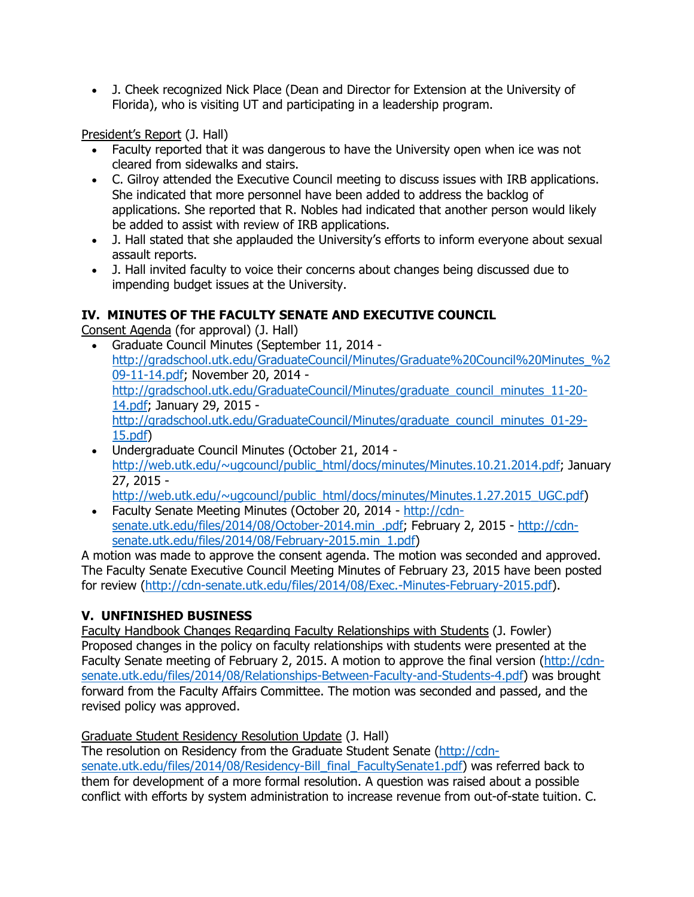J. Cheek recognized Nick Place (Dean and Director for Extension at the University of Florida), who is visiting UT and participating in a leadership program.

President's Report (J. Hall)

- Faculty reported that it was dangerous to have the University open when ice was not cleared from sidewalks and stairs.
- C. Gilroy attended the Executive Council meeting to discuss issues with IRB applications. She indicated that more personnel have been added to address the backlog of applications. She reported that R. Nobles had indicated that another person would likely be added to assist with review of IRB applications.
- J. Hall stated that she applauded the University's efforts to inform everyone about sexual assault reports.
- J. Hall invited faculty to voice their concerns about changes being discussed due to impending budget issues at the University.

# **IV. MINUTES OF THE FACULTY SENATE AND EXECUTIVE COUNCIL**

Consent Agenda (for approval) (J. Hall)

- Graduate Council Minutes (September 11, 2014 [http://gradschool.utk.edu/GraduateCouncil/Minutes/Graduate%20Council%20Minutes\\_%2](http://gradschool.utk.edu/GraduateCouncil/Minutes/Graduate%20Council%20Minutes_%209-11-14.pdf) [09-11-14.pdf;](http://gradschool.utk.edu/GraduateCouncil/Minutes/Graduate%20Council%20Minutes_%209-11-14.pdf) November 20, 2014 [http://gradschool.utk.edu/GraduateCouncil/Minutes/graduate\\_council\\_minutes\\_11-20-](http://gradschool.utk.edu/GraduateCouncil/Minutes/graduate_council_minutes_11-20-14.pdf) [14.pdf;](http://gradschool.utk.edu/GraduateCouncil/Minutes/graduate_council_minutes_11-20-14.pdf) January 29, 2015 [http://gradschool.utk.edu/GraduateCouncil/Minutes/graduate\\_council\\_minutes\\_01-29-](http://gradschool.utk.edu/GraduateCouncil/Minutes/graduate_council_minutes_01-29-15.pdf) [15.pdf\)](http://gradschool.utk.edu/GraduateCouncil/Minutes/graduate_council_minutes_01-29-15.pdf)
- Undergraduate Council Minutes (October 21, 2014 [http://web.utk.edu/~ugcouncl/public\\_html/docs/minutes/Minutes.10.21.2014.pdf;](http://web.utk.edu/~ugcouncl/public_html/docs/minutes/Minutes.10.21.2014.pdf) January 27, 2015 [http://web.utk.edu/~ugcouncl/public\\_html/docs/minutes/Minutes.1.27.2015\\_UGC.pdf\)](http://web.utk.edu/~ugcouncl/public_html/docs/minutes/Minutes.1.27.2015_UGC.pdf)
- Faculty Senate Meeting Minutes (October 20, 2014 [http://cdn](http://cdn-senate.utk.edu/files/2014/08/October-2014.min_.pdf)[senate.utk.edu/files/2014/08/October-2014.min\\_.pdf;](http://cdn-senate.utk.edu/files/2014/08/October-2014.min_.pdf) February 2, 2015 - [http://cdn](http://cdn-senate.utk.edu/files/2014/08/February-2015.min_1.pdf)[senate.utk.edu/files/2014/08/February-2015.min\\_1.pdf\)](http://cdn-senate.utk.edu/files/2014/08/February-2015.min_1.pdf)

A motion was made to approve the consent agenda. The motion was seconded and approved. The Faculty Senate Executive Council Meeting Minutes of February 23, 2015 have been posted for review [\(http://cdn-senate.utk.edu/files/2014/08/Exec.-Minutes-February-2015.pdf\)](http://cdn-senate.utk.edu/files/2014/08/Exec.-Minutes-February-2015.pdf).

# **V. UNFINISHED BUSINESS**

Faculty Handbook Changes Regarding Faculty Relationships with Students (J. Fowler) Proposed changes in the policy on faculty relationships with students were presented at the Faculty Senate meeting of February 2, 2015. A motion to approve the final version [\(http://cdn](http://cdn-senate.utk.edu/files/2014/08/Relationships-Between-Faculty-and-Students-4.pdf)[senate.utk.edu/files/2014/08/Relationships-Between-Faculty-and-Students-4.pdf\)](http://cdn-senate.utk.edu/files/2014/08/Relationships-Between-Faculty-and-Students-4.pdf) was brought forward from the Faculty Affairs Committee. The motion was seconded and passed, and the revised policy was approved.

Graduate Student Residency Resolution Update (J. Hall)

The resolution on Residency from the Graduate Student Senate [\(http://cdn](http://cdn-senate.utk.edu/files/2014/08/Residency-Bill_final_FacultySenate1.pdf)[senate.utk.edu/files/2014/08/Residency-Bill\\_final\\_FacultySenate1.pdf\)](http://cdn-senate.utk.edu/files/2014/08/Residency-Bill_final_FacultySenate1.pdf) was referred back to them for development of a more formal resolution. A question was raised about a possible conflict with efforts by system administration to increase revenue from out-of-state tuition. C.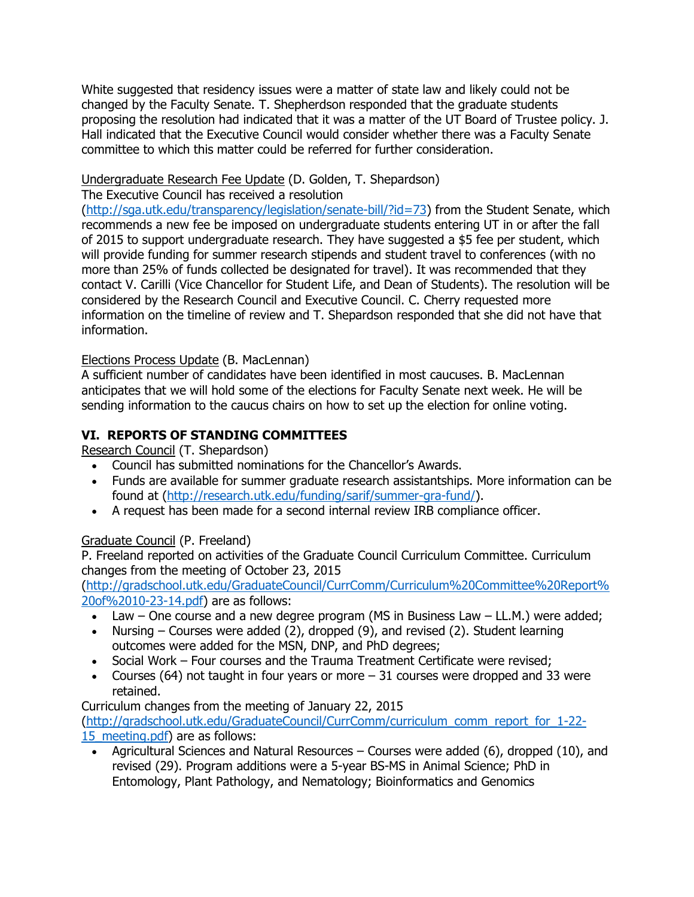White suggested that residency issues were a matter of state law and likely could not be changed by the Faculty Senate. T. Shepherdson responded that the graduate students proposing the resolution had indicated that it was a matter of the UT Board of Trustee policy. J. Hall indicated that the Executive Council would consider whether there was a Faculty Senate committee to which this matter could be referred for further consideration.

# Undergraduate Research Fee Update (D. Golden, T. Shepardson)

The Executive Council has received a resolution

[\(http://sga.utk.edu/transparency/legislation/senate-bill/?id=73\)](http://sga.utk.edu/transparency/legislation/senate-bill/?id=73) from the Student Senate, which recommends a new fee be imposed on undergraduate students entering UT in or after the fall of 2015 to support undergraduate research. They have suggested a \$5 fee per student, which will provide funding for summer research stipends and student travel to conferences (with no more than 25% of funds collected be designated for travel). It was recommended that they contact V. Carilli (Vice Chancellor for Student Life, and Dean of Students). The resolution will be considered by the Research Council and Executive Council. C. Cherry requested more information on the timeline of review and T. Shepardson responded that she did not have that information.

# Elections Process Update (B. MacLennan)

A sufficient number of candidates have been identified in most caucuses. B. MacLennan anticipates that we will hold some of the elections for Faculty Senate next week. He will be sending information to the caucus chairs on how to set up the election for online voting.

# **VI. REPORTS OF STANDING COMMITTEES**

Research Council (T. Shepardson)

- Council has submitted nominations for the Chancellor's Awards.
- Funds are available for summer graduate research assistantships. More information can be found at [\(http://research.utk.edu/funding/sarif/summer-gra-fund/\)](http://research.utk.edu/funding/sarif/summer-gra-fund/).
- A request has been made for a second internal review IRB compliance officer.

### Graduate Council (P. Freeland)

P. Freeland reported on activities of the Graduate Council Curriculum Committee. Curriculum changes from the meeting of October 23, 2015

[\(http://gradschool.utk.edu/GraduateCouncil/CurrComm/Curriculum%20Committee%20Report%](http://gradschool.utk.edu/GraduateCouncil/CurrComm/Curriculum%20Committee%20Report%20of%2010-23-14.pdf) [20of%2010-23-14.pdf\)](http://gradschool.utk.edu/GraduateCouncil/CurrComm/Curriculum%20Committee%20Report%20of%2010-23-14.pdf) are as follows:

- Law One course and a new degree program (MS in Business Law LL.M.) were added;
- Nursing Courses were added (2), dropped (9), and revised (2). Student learning outcomes were added for the MSN, DNP, and PhD degrees;
- Social Work Four courses and the Trauma Treatment Certificate were revised;
- Courses (64) not taught in four years or more  $-31$  courses were dropped and 33 were retained.

Curriculum changes from the meeting of January 22, 2015

[\(http://gradschool.utk.edu/GraduateCouncil/CurrComm/curriculum\\_comm\\_report\\_for\\_1-22-](http://gradschool.utk.edu/GraduateCouncil/CurrComm/curriculum_comm_report_for_1-22-15_meeting.pdf) 15 meeting.pdf) are as follows:

 Agricultural Sciences and Natural Resources – Courses were added (6), dropped (10), and revised (29). Program additions were a 5-year BS-MS in Animal Science; PhD in Entomology, Plant Pathology, and Nematology; Bioinformatics and Genomics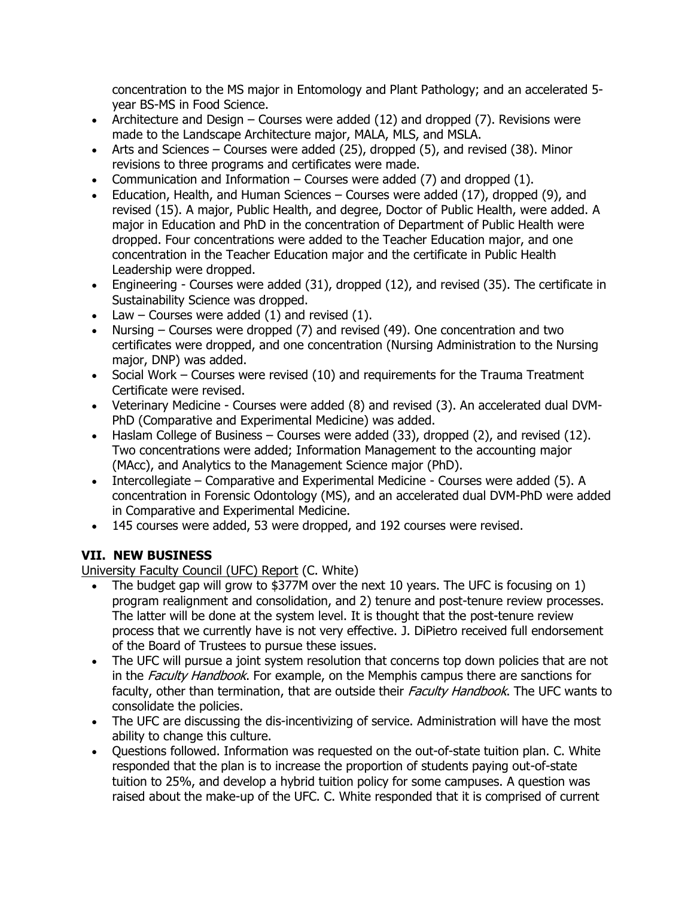concentration to the MS major in Entomology and Plant Pathology; and an accelerated 5 year BS-MS in Food Science.

- Architecture and Design Courses were added (12) and dropped (7). Revisions were made to the Landscape Architecture major, MALA, MLS, and MSLA.
- Arts and Sciences Courses were added  $(25)$ , dropped  $(5)$ , and revised  $(38)$ . Minor revisions to three programs and certificates were made.
- Communication and Information Courses were added  $(7)$  and dropped  $(1)$ .
- Education, Health, and Human Sciences Courses were added (17), dropped (9), and revised (15). A major, Public Health, and degree, Doctor of Public Health, were added. A major in Education and PhD in the concentration of Department of Public Health were dropped. Four concentrations were added to the Teacher Education major, and one concentration in the Teacher Education major and the certificate in Public Health Leadership were dropped.
- Engineering Courses were added (31), dropped (12), and revised (35). The certificate in Sustainability Science was dropped.
- Law Courses were added  $(1)$  and revised  $(1)$ .
- Nursing Courses were dropped (7) and revised (49). One concentration and two certificates were dropped, and one concentration (Nursing Administration to the Nursing major, DNP) was added.
- Social Work Courses were revised (10) and requirements for the Trauma Treatment Certificate were revised.
- Veterinary Medicine Courses were added (8) and revised (3). An accelerated dual DVM-PhD (Comparative and Experimental Medicine) was added.
- $\bullet$  Haslam College of Business Courses were added (33), dropped (2), and revised (12). Two concentrations were added; Information Management to the accounting major (MAcc), and Analytics to the Management Science major (PhD).
- Intercollegiate Comparative and Experimental Medicine Courses were added (5). A concentration in Forensic Odontology (MS), and an accelerated dual DVM-PhD were added in Comparative and Experimental Medicine.
- 145 courses were added, 53 were dropped, and 192 courses were revised.

# **VII. NEW BUSINESS**

University Faculty Council (UFC) Report (C. White)

- The budget gap will grow to \$377M over the next 10 years. The UFC is focusing on 1) program realignment and consolidation, and 2) tenure and post-tenure review processes. The latter will be done at the system level. It is thought that the post-tenure review process that we currently have is not very effective. J. DiPietro received full endorsement of the Board of Trustees to pursue these issues.
- The UFC will pursue a joint system resolution that concerns top down policies that are not in the Faculty Handbook. For example, on the Memphis campus there are sanctions for faculty, other than termination, that are outside their Faculty Handbook. The UFC wants to consolidate the policies.
- The UFC are discussing the dis-incentivizing of service. Administration will have the most ability to change this culture.
- Questions followed. Information was requested on the out-of-state tuition plan. C. White responded that the plan is to increase the proportion of students paying out-of-state tuition to 25%, and develop a hybrid tuition policy for some campuses. A question was raised about the make-up of the UFC. C. White responded that it is comprised of current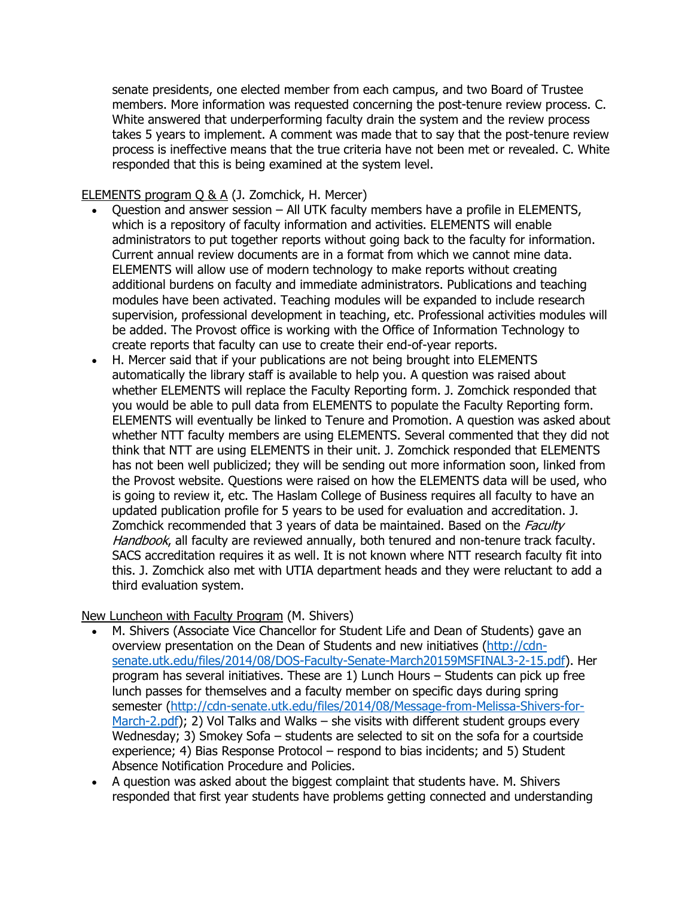senate presidents, one elected member from each campus, and two Board of Trustee members. More information was requested concerning the post-tenure review process. C. White answered that underperforming faculty drain the system and the review process takes 5 years to implement. A comment was made that to say that the post-tenure review process is ineffective means that the true criteria have not been met or revealed. C. White responded that this is being examined at the system level.

### ELEMENTS program Q & A (J. Zomchick, H. Mercer)

- Question and answer session All UTK faculty members have a profile in ELEMENTS, which is a repository of faculty information and activities. ELEMENTS will enable administrators to put together reports without going back to the faculty for information. Current annual review documents are in a format from which we cannot mine data. ELEMENTS will allow use of modern technology to make reports without creating additional burdens on faculty and immediate administrators. Publications and teaching modules have been activated. Teaching modules will be expanded to include research supervision, professional development in teaching, etc. Professional activities modules will be added. The Provost office is working with the Office of Information Technology to create reports that faculty can use to create their end-of-year reports.
- H. Mercer said that if your publications are not being brought into ELEMENTS automatically the library staff is available to help you. A question was raised about whether ELEMENTS will replace the Faculty Reporting form. J. Zomchick responded that you would be able to pull data from ELEMENTS to populate the Faculty Reporting form. ELEMENTS will eventually be linked to Tenure and Promotion. A question was asked about whether NTT faculty members are using ELEMENTS. Several commented that they did not think that NTT are using ELEMENTS in their unit. J. Zomchick responded that ELEMENTS has not been well publicized; they will be sending out more information soon, linked from the Provost website. Questions were raised on how the ELEMENTS data will be used, who is going to review it, etc. The Haslam College of Business requires all faculty to have an updated publication profile for 5 years to be used for evaluation and accreditation. J. Zomchick recommended that 3 years of data be maintained. Based on the *Faculty* Handbook, all faculty are reviewed annually, both tenured and non-tenure track faculty. SACS accreditation requires it as well. It is not known where NTT research faculty fit into this. J. Zomchick also met with UTIA department heads and they were reluctant to add a third evaluation system.

New Luncheon with Faculty Program (M. Shivers)

- M. Shivers (Associate Vice Chancellor for Student Life and Dean of Students) gave an overview presentation on the Dean of Students and new initiatives [\(http://cdn](http://cdn-senate.utk.edu/files/2014/08/DOS-Faculty-Senate-March20159MSFINAL3-2-15.pdf)[senate.utk.edu/files/2014/08/DOS-Faculty-Senate-March20159MSFINAL3-2-15.pdf\)](http://cdn-senate.utk.edu/files/2014/08/DOS-Faculty-Senate-March20159MSFINAL3-2-15.pdf). Her program has several initiatives. These are 1) Lunch Hours – Students can pick up free lunch passes for themselves and a faculty member on specific days during spring semester [\(http://cdn-senate.utk.edu/files/2014/08/Message-from-Melissa-Shivers-for-](http://cdn-senate.utk.edu/files/2014/08/Message-from-Melissa-Shivers-for-March-2.pdf)[March-2.pdf\)](http://cdn-senate.utk.edu/files/2014/08/Message-from-Melissa-Shivers-for-March-2.pdf); 2) Vol Talks and Walks – she visits with different student groups every Wednesday; 3) Smokey Sofa – students are selected to sit on the sofa for a courtside experience; 4) Bias Response Protocol – respond to bias incidents; and 5) Student Absence Notification Procedure and Policies.
- A question was asked about the biggest complaint that students have. M. Shivers responded that first year students have problems getting connected and understanding